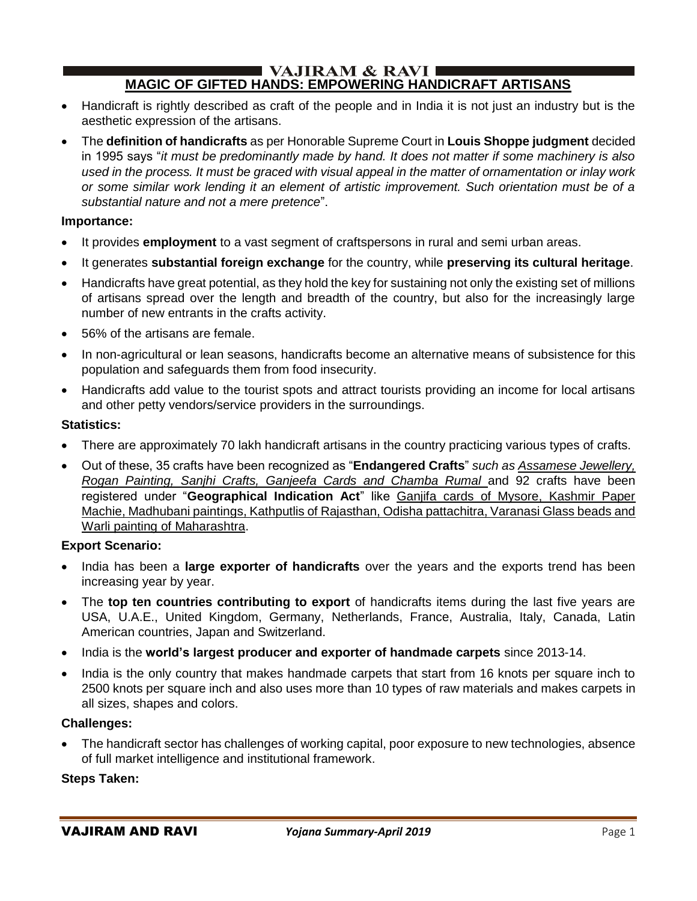### $\blacksquare$  VAJIRAM & RAVI  $\blacksquare$ **MAGIC OF GIFTED HANDS: EMPOWERING HANDICRAFT ARTISANS**

- Handicraft is rightly described as craft of the people and in India it is not just an industry but is the aesthetic expression of the artisans.
- The **definition of handicrafts** as per Honorable Supreme Court in **Louis Shoppe judgment** decided in 1995 says "*it must be predominantly made by hand. It does not matter if some machinery is also used in the process. It must be graced with visual appeal in the matter of ornamentation or inlay work or some similar work lending it an element of artistic improvement. Such orientation must be of a substantial nature and not a mere pretence*".

### **Importance:**

- It provides **employment** to a vast segment of craftspersons in rural and semi urban areas.
- It generates **substantial foreign exchange** for the country, while **preserving its cultural heritage**.
- Handicrafts have great potential, as they hold the key for sustaining not only the existing set of millions of artisans spread over the length and breadth of the country, but also for the increasingly large number of new entrants in the crafts activity.
- 56% of the artisans are female.
- In non-agricultural or lean seasons, handicrafts become an alternative means of subsistence for this population and safeguards them from food insecurity.
- Handicrafts add value to the tourist spots and attract tourists providing an income for local artisans and other petty vendors/service providers in the surroundings.

#### **Statistics:**

- There are approximately 70 lakh handicraft artisans in the country practicing various types of crafts.
- Out of these, 35 crafts have been recognized as "**Endangered Crafts**" *such as Assamese Jewellery, Rogan Painting, Sanjhi Crafts, Ganjeefa Cards and Chamba Rumal* and 92 crafts have been registered under "**Geographical Indication Act**" like Ganjifa cards of Mysore, Kashmir Paper Machie, Madhubani paintings, Kathputlis of Rajasthan, Odisha pattachitra, Varanasi Glass beads and Warli painting of Maharashtra.

### **Export Scenario:**

- India has been a **large exporter of handicrafts** over the years and the exports trend has been increasing year by year.
- The **top ten countries contributing to export** of handicrafts items during the last five years are USA, U.A.E., United Kingdom, Germany, Netherlands, France, Australia, Italy, Canada, Latin American countries, Japan and Switzerland.
- India is the **world's largest producer and exporter of handmade carpets** since 2013-14.
- India is the only country that makes handmade carpets that start from 16 knots per square inch to 2500 knots per square inch and also uses more than 10 types of raw materials and makes carpets in all sizes, shapes and colors.

#### **Challenges:**

• The handicraft sector has challenges of working capital, poor exposure to new technologies, absence of full market intelligence and institutional framework.

### **Steps Taken:**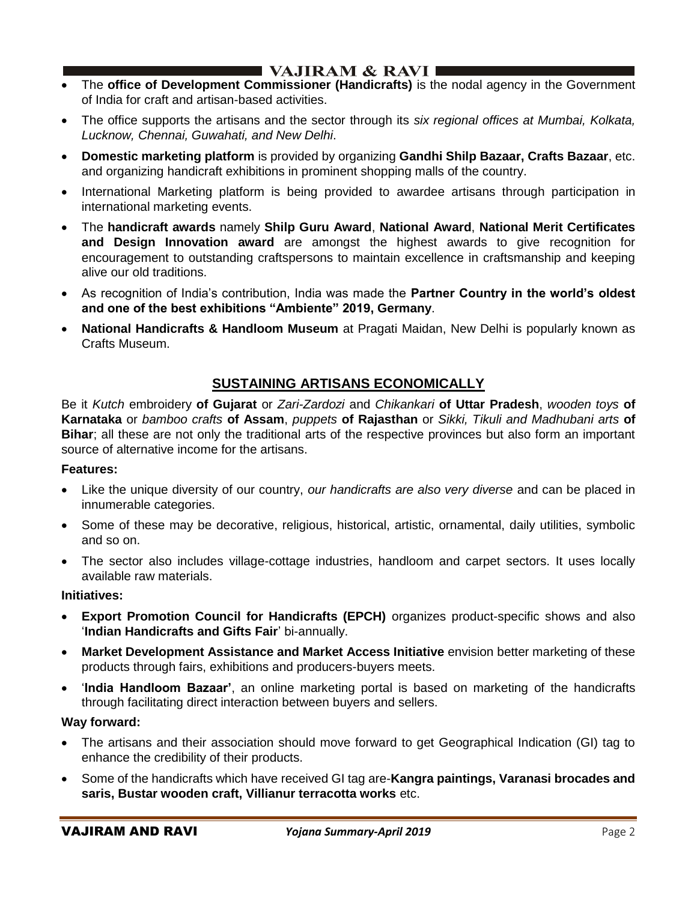# $\blacksquare$  VAJIRAM & RAVI $\blacksquare$

- The **office of Development Commissioner (Handicrafts)** is the nodal agency in the Government of India for craft and artisan-based activities.
- The office supports the artisans and the sector through its *six regional offices at Mumbai, Kolkata, Lucknow, Chennai, Guwahati, and New Delhi*.
- **Domestic marketing platform** is provided by organizing **Gandhi Shilp Bazaar, Crafts Bazaar**, etc. and organizing handicraft exhibitions in prominent shopping malls of the country.
- International Marketing platform is being provided to awardee artisans through participation in international marketing events.
- The **handicraft awards** namely **Shilp Guru Award**, **National Award**, **National Merit Certificates and Design Innovation award** are amongst the highest awards to give recognition for encouragement to outstanding craftspersons to maintain excellence in craftsmanship and keeping alive our old traditions.
- As recognition of India's contribution, India was made the **Partner Country in the world's oldest and one of the best exhibitions "Ambiente" 2019, Germany**.
- **National Handicrafts & Handloom Museum** at Pragati Maidan, New Delhi is popularly known as Crafts Museum.

# **SUSTAINING ARTISANS ECONOMICALLY**

Be it *Kutch* embroidery **of Gujarat** or *Zari-Zardozi* and *Chikankari* **of Uttar Pradesh**, *wooden toys* **of Karnataka** or *bamboo crafts* **of Assam**, *puppets* **of Rajasthan** or *Sikki, Tikuli and Madhubani arts* **of Bihar**; all these are not only the traditional arts of the respective provinces but also form an important source of alternative income for the artisans.

### **Features:**

- Like the unique diversity of our country, *our handicrafts are also very diverse* and can be placed in innumerable categories.
- Some of these may be decorative, religious, historical, artistic, ornamental, daily utilities, symbolic and so on.
- The sector also includes village-cottage industries, handloom and carpet sectors. It uses locally available raw materials.

### **Initiatives:**

- **Export Promotion Council for Handicrafts (EPCH)** organizes product-specific shows and also '**Indian Handicrafts and Gifts Fair**' bi-annually.
- **Market Development Assistance and Market Access Initiative** envision better marketing of these products through fairs, exhibitions and producers-buyers meets.
- '**India Handloom Bazaar'**, an online marketing portal is based on marketing of the handicrafts through facilitating direct interaction between buyers and sellers.

### **Way forward:**

- The artisans and their association should move forward to get Geographical Indication (GI) tag to enhance the credibility of their products.
- Some of the handicrafts which have received GI tag are-**Kangra paintings, Varanasi brocades and saris, Bustar wooden craft, Villianur terracotta works** etc.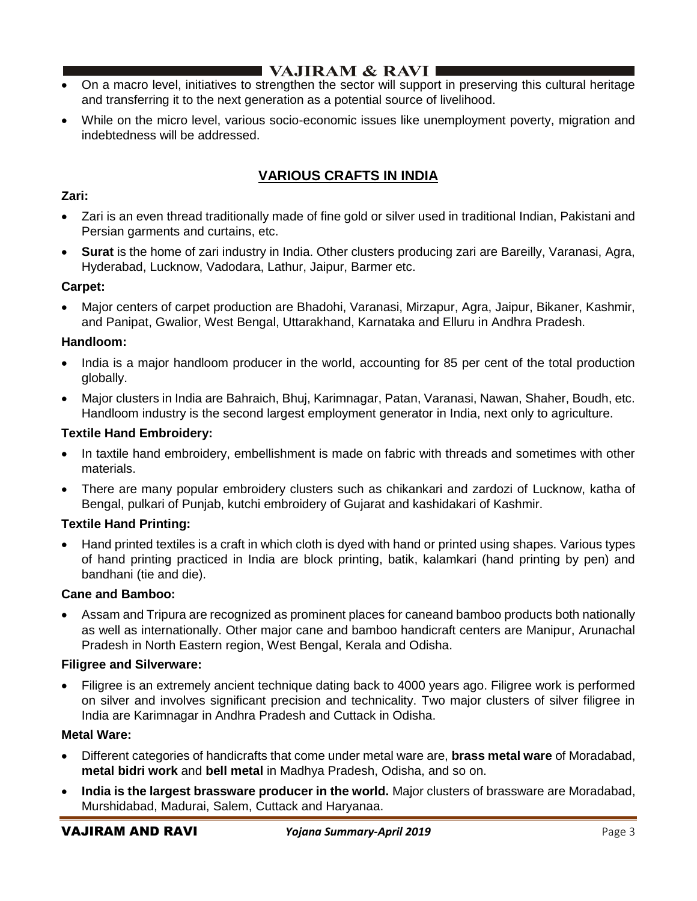- I VAJIRAM  $\&$  RAVI $\blacksquare$
- On a macro level, initiatives to strengthen the sector will support in preserving this cultural heritage and transferring it to the next generation as a potential source of livelihood.
- While on the micro level, various socio-economic issues like unemployment poverty, migration and indebtedness will be addressed.

# **VARIOUS CRAFTS IN INDIA**

### **Zari:**

- Zari is an even thread traditionally made of fine gold or silver used in traditional Indian, Pakistani and Persian garments and curtains, etc.
- **Surat** is the home of zari industry in India. Other clusters producing zari are Bareilly, Varanasi, Agra, Hyderabad, Lucknow, Vadodara, Lathur, Jaipur, Barmer etc.

### **Carpet:**

• Major centers of carpet production are Bhadohi, Varanasi, Mirzapur, Agra, Jaipur, Bikaner, Kashmir, and Panipat, Gwalior, West Bengal, Uttarakhand, Karnataka and Elluru in Andhra Pradesh.

### **Handloom:**

- India is a major handloom producer in the world, accounting for 85 per cent of the total production globally.
- Major clusters in India are Bahraich, Bhuj, Karimnagar, Patan, Varanasi, Nawan, Shaher, Boudh, etc. Handloom industry is the second largest employment generator in India, next only to agriculture.

### **Textile Hand Embroidery:**

- In taxtile hand embroidery, embellishment is made on fabric with threads and sometimes with other materials.
- There are many popular embroidery clusters such as chikankari and zardozi of Lucknow, katha of Bengal, pulkari of Punjab, kutchi embroidery of Gujarat and kashidakari of Kashmir.

## **Textile Hand Printing:**

• Hand printed textiles is a craft in which cloth is dyed with hand or printed using shapes. Various types of hand printing practiced in India are block printing, batik, kalamkari (hand printing by pen) and bandhani (tie and die).

## **Cane and Bamboo:**

• Assam and Tripura are recognized as prominent places for caneand bamboo products both nationally as well as internationally. Other major cane and bamboo handicraft centers are Manipur, Arunachal Pradesh in North Eastern region, West Bengal, Kerala and Odisha.

### **Filigree and Silverware:**

• Filigree is an extremely ancient technique dating back to 4000 years ago. Filigree work is performed on silver and involves significant precision and technicality. Two major clusters of silver filigree in India are Karimnagar in Andhra Pradesh and Cuttack in Odisha.

### **Metal Ware:**

- Different categories of handicrafts that come under metal ware are, **brass metal ware** of Moradabad, **metal bidri work** and **bell metal** in Madhya Pradesh, Odisha, and so on.
- **India is the largest brassware producer in the world.** Major clusters of brassware are Moradabad, Murshidabad, Madurai, Salem, Cuttack and Haryanaa.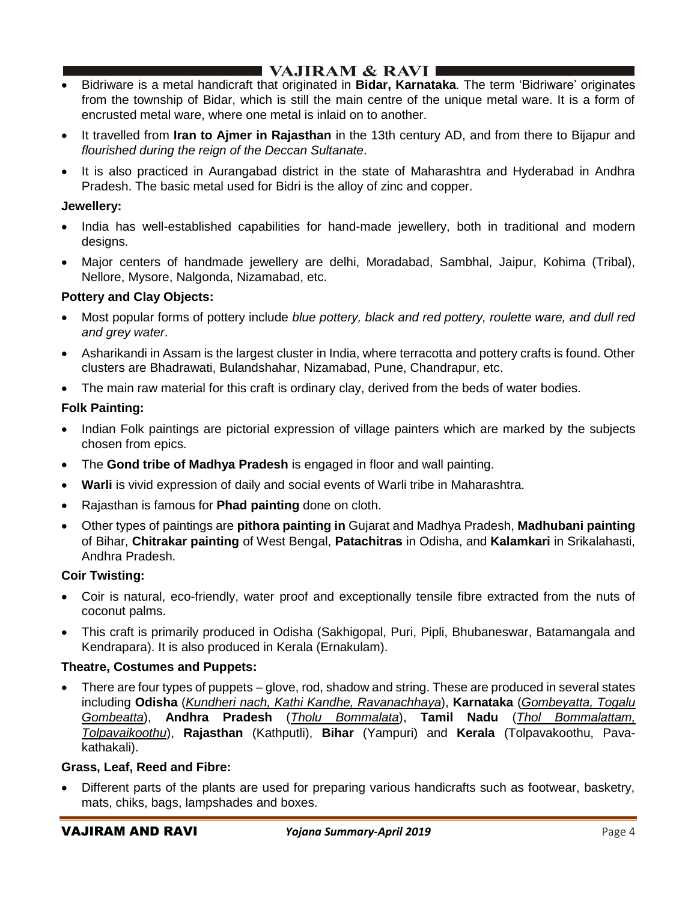# $\blacksquare$  VAJIRAM & RAVI $\blacksquare$

- Bidriware is a metal handicraft that originated in **Bidar, Karnataka**. The term 'Bidriware' originates from the township of Bidar, which is still the main centre of the unique metal ware. It is a form of encrusted metal ware, where one metal is inlaid on to another.
- It travelled from **Iran to Ajmer in Rajasthan** in the 13th century AD, and from there to Bijapur and *flourished during the reign of the Deccan Sultanate*.
- It is also practiced in Aurangabad district in the state of Maharashtra and Hyderabad in Andhra Pradesh. The basic metal used for Bidri is the alloy of zinc and copper.

### **Jewellery:**

- India has well-established capabilities for hand-made jewellery, both in traditional and modern designs.
- Major centers of handmade jewellery are delhi, Moradabad, Sambhal, Jaipur, Kohima (Tribal), Nellore, Mysore, Nalgonda, Nizamabad, etc.

### **Pottery and Clay Objects:**

- Most popular forms of pottery include *blue pottery, black and red pottery, roulette ware, and dull red and grey water*.
- Asharikandi in Assam is the largest cluster in India, where terracotta and pottery crafts is found. Other clusters are Bhadrawati, Bulandshahar, Nizamabad, Pune, Chandrapur, etc.
- The main raw material for this craft is ordinary clay, derived from the beds of water bodies.

### **Folk Painting:**

- Indian Folk paintings are pictorial expression of village painters which are marked by the subjects chosen from epics.
- The **Gond tribe of Madhya Pradesh** is engaged in floor and wall painting.
- **Warli** is vivid expression of daily and social events of Warli tribe in Maharashtra.
- Rajasthan is famous for **Phad painting** done on cloth.
- Other types of paintings are **pithora painting in** Gujarat and Madhya Pradesh, **Madhubani painting** of Bihar, **Chitrakar painting** of West Bengal, **Patachitras** in Odisha, and **Kalamkari** in Srikalahasti, Andhra Pradesh.

### **Coir Twisting:**

- Coir is natural, eco-friendly, water proof and exceptionally tensile fibre extracted from the nuts of coconut palms.
- This craft is primarily produced in Odisha (Sakhigopal, Puri, Pipli, Bhubaneswar, Batamangala and Kendrapara). It is also produced in Kerala (Ernakulam).

### **Theatre, Costumes and Puppets:**

• There are four types of puppets – glove, rod, shadow and string. These are produced in several states including **Odisha** (*Kundheri nach, Kathi Kandhe, Ravanachhaya*), **Karnataka** (*Gombeyatta, Togalu Gombeatta*), **Andhra Pradesh** (*Tholu Bommalata*), **Tamil Nadu** (*Thol Bommalattam, Tolpavaikoothu*), **Rajasthan** (Kathputli), **Bihar** (Yampuri) and **Kerala** (Tolpavakoothu, Pavakathakali).

### **Grass, Leaf, Reed and Fibre:**

• Different parts of the plants are used for preparing various handicrafts such as footwear, basketry, mats, chiks, bags, lampshades and boxes.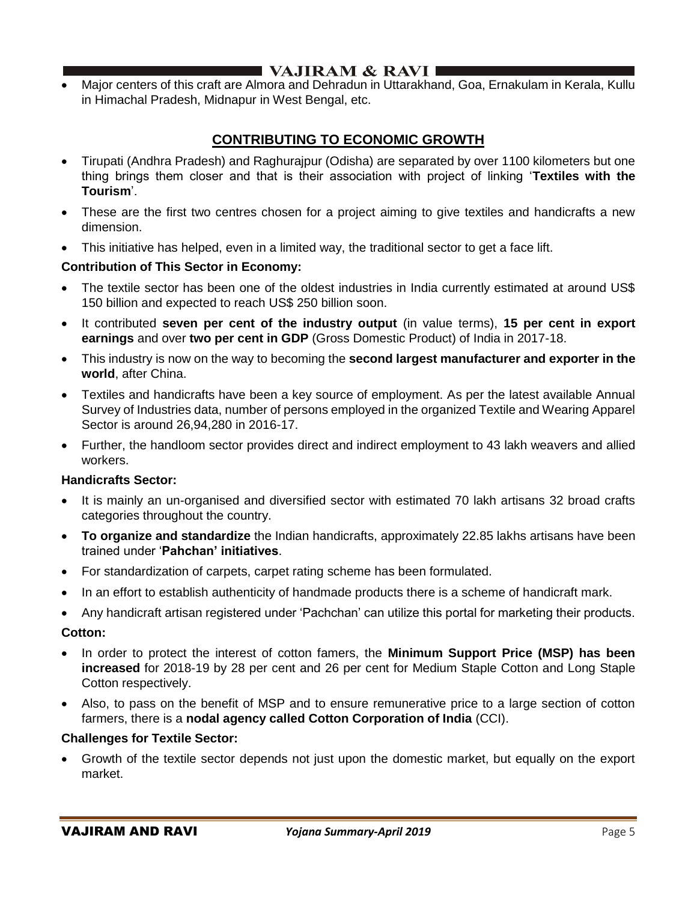# **I VAJIRAM & RAVI**  $\blacksquare$

• Major centers of this craft are Almora and Dehradun in Uttarakhand, Goa, Ernakulam in Kerala, Kullu in Himachal Pradesh, Midnapur in West Bengal, etc.

# **CONTRIBUTING TO ECONOMIC GROWTH**

- Tirupati (Andhra Pradesh) and Raghurajpur (Odisha) are separated by over 1100 kilometers but one thing brings them closer and that is their association with project of linking '**Textiles with the Tourism**'.
- These are the first two centres chosen for a project aiming to give textiles and handicrafts a new dimension.
- This initiative has helped, even in a limited way, the traditional sector to get a face lift.

### **Contribution of This Sector in Economy:**

- The textile sector has been one of the oldest industries in India currently estimated at around US\$ 150 billion and expected to reach US\$ 250 billion soon.
- It contributed **seven per cent of the industry output** (in value terms), **15 per cent in export earnings** and over **two per cent in GDP** (Gross Domestic Product) of India in 2017-18.
- This industry is now on the way to becoming the **second largest manufacturer and exporter in the world**, after China.
- Textiles and handicrafts have been a key source of employment. As per the latest available Annual Survey of Industries data, number of persons employed in the organized Textile and Wearing Apparel Sector is around 26,94,280 in 2016-17.
- Further, the handloom sector provides direct and indirect employment to 43 lakh weavers and allied workers.

### **Handicrafts Sector:**

- It is mainly an un-organised and diversified sector with estimated 70 lakh artisans 32 broad crafts categories throughout the country.
- **To organize and standardize** the Indian handicrafts, approximately 22.85 lakhs artisans have been trained under '**Pahchan' initiatives**.
- For standardization of carpets, carpet rating scheme has been formulated.
- In an effort to establish authenticity of handmade products there is a scheme of handicraft mark.
- Any handicraft artisan registered under 'Pachchan' can utilize this portal for marketing their products.

### **Cotton:**

- In order to protect the interest of cotton famers, the **Minimum Support Price (MSP) has been increased** for 2018-19 by 28 per cent and 26 per cent for Medium Staple Cotton and Long Staple Cotton respectively.
- Also, to pass on the benefit of MSP and to ensure remunerative price to a large section of cotton farmers, there is a **nodal agency called Cotton Corporation of India** (CCI).

### **Challenges for Textile Sector:**

• Growth of the textile sector depends not just upon the domestic market, but equally on the export market.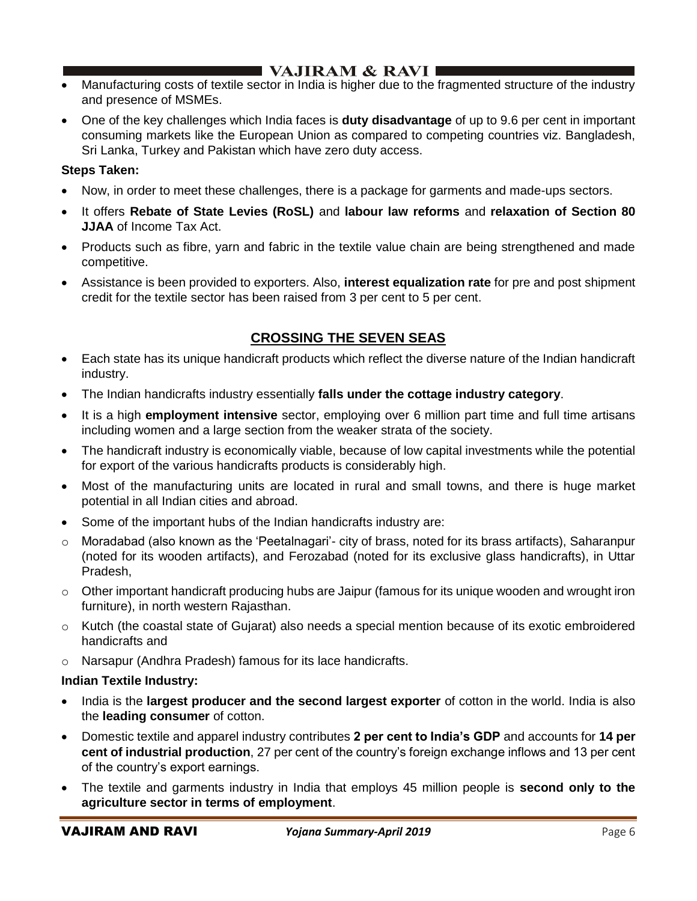# **I** VAJIRAM & RAVI  $\blacksquare$

- Manufacturing costs of textile sector in India is higher due to the fragmented structure of the industry and presence of MSMEs.
- One of the key challenges which India faces is **duty disadvantage** of up to 9.6 per cent in important consuming markets like the European Union as compared to competing countries viz. Bangladesh, Sri Lanka, Turkey and Pakistan which have zero duty access.

### **Steps Taken:**

- Now, in order to meet these challenges, there is a package for garments and made-ups sectors.
- It offers **Rebate of State Levies (RoSL)** and **labour law reforms** and **relaxation of Section 80 JJAA** of Income Tax Act.
- Products such as fibre, yarn and fabric in the textile value chain are being strengthened and made competitive.
- Assistance is been provided to exporters. Also, **interest equalization rate** for pre and post shipment credit for the textile sector has been raised from 3 per cent to 5 per cent.

# **CROSSING THE SEVEN SEAS**

- Each state has its unique handicraft products which reflect the diverse nature of the Indian handicraft industry.
- The Indian handicrafts industry essentially **falls under the cottage industry category**.
- It is a high **employment intensive** sector, employing over 6 million part time and full time artisans including women and a large section from the weaker strata of the society.
- The handicraft industry is economically viable, because of low capital investments while the potential for export of the various handicrafts products is considerably high.
- Most of the manufacturing units are located in rural and small towns, and there is huge market potential in all Indian cities and abroad.
- Some of the important hubs of the Indian handicrafts industry are:
- $\circ$  Moradabad (also known as the 'Peetalnagari'- city of brass, noted for its brass artifacts), Saharanpur (noted for its wooden artifacts), and Ferozabad (noted for its exclusive glass handicrafts), in Uttar Pradesh,
- $\circ$  Other important handicraft producing hubs are Jaipur (famous for its unique wooden and wrought iron furniture), in north western Rajasthan.
- o Kutch (the coastal state of Gujarat) also needs a special mention because of its exotic embroidered handicrafts and
- o Narsapur (Andhra Pradesh) famous for its lace handicrafts.

## **Indian Textile Industry:**

- India is the **largest producer and the second largest exporter** of cotton in the world. India is also the **leading consumer** of cotton.
- Domestic textile and apparel industry contributes **2 per cent to India's GDP** and accounts for **14 per cent of industrial production**, 27 per cent of the country's foreign exchange inflows and 13 per cent of the country's export earnings.
- The textile and garments industry in India that employs 45 million people is **second only to the agriculture sector in terms of employment**.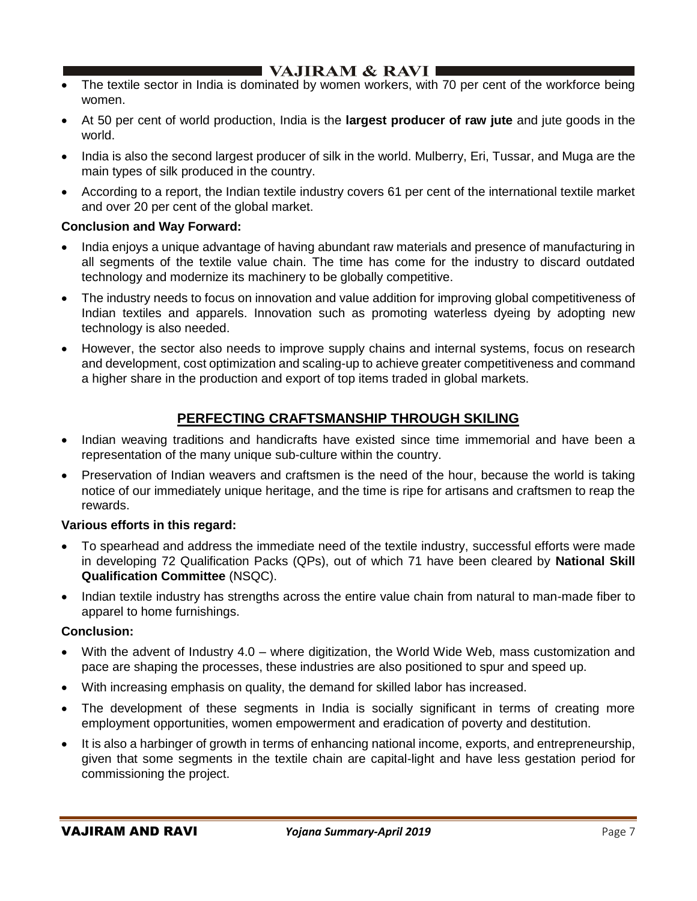## I VAJIRAM  $\&$  RAVI $\blacksquare$

- The textile sector in India is dominated by women workers, with 70 per cent of the workforce being women.
- At 50 per cent of world production, India is the **largest producer of raw jute** and jute goods in the world.
- India is also the second largest producer of silk in the world. Mulberry, Eri, Tussar, and Muga are the main types of silk produced in the country.
- According to a report, the Indian textile industry covers 61 per cent of the international textile market and over 20 per cent of the global market.

### **Conclusion and Way Forward:**

- India enjoys a unique advantage of having abundant raw materials and presence of manufacturing in all segments of the textile value chain. The time has come for the industry to discard outdated technology and modernize its machinery to be globally competitive.
- The industry needs to focus on innovation and value addition for improving global competitiveness of Indian textiles and apparels. Innovation such as promoting waterless dyeing by adopting new technology is also needed.
- However, the sector also needs to improve supply chains and internal systems, focus on research and development, cost optimization and scaling-up to achieve greater competitiveness and command a higher share in the production and export of top items traded in global markets.

# **PERFECTING CRAFTSMANSHIP THROUGH SKILING**

- Indian weaving traditions and handicrafts have existed since time immemorial and have been a representation of the many unique sub-culture within the country.
- Preservation of Indian weavers and craftsmen is the need of the hour, because the world is taking notice of our immediately unique heritage, and the time is ripe for artisans and craftsmen to reap the rewards.

### **Various efforts in this regard:**

- To spearhead and address the immediate need of the textile industry, successful efforts were made in developing 72 Qualification Packs (QPs), out of which 71 have been cleared by **National Skill Qualification Committee** (NSQC).
- Indian textile industry has strengths across the entire value chain from natural to man-made fiber to apparel to home furnishings.

### **Conclusion:**

- With the advent of Industry 4.0 where digitization, the World Wide Web, mass customization and pace are shaping the processes, these industries are also positioned to spur and speed up.
- With increasing emphasis on quality, the demand for skilled labor has increased.
- The development of these segments in India is socially significant in terms of creating more employment opportunities, women empowerment and eradication of poverty and destitution.
- It is also a harbinger of growth in terms of enhancing national income, exports, and entrepreneurship, given that some segments in the textile chain are capital-light and have less gestation period for commissioning the project.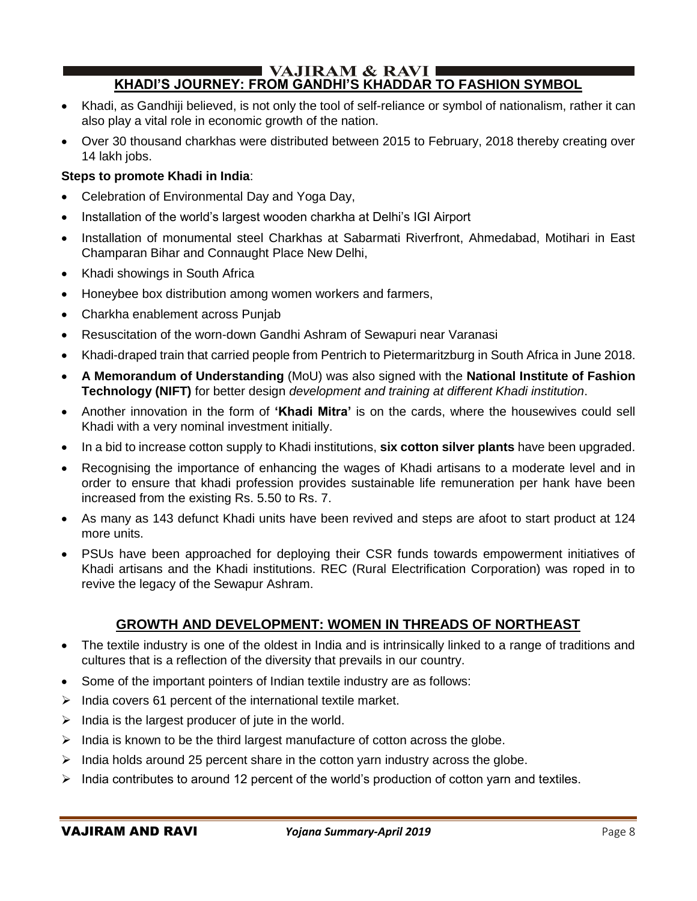#### $\blacksquare$  VAJIRAM & RAVI  $\blacksquare$ **KHADI'S JOURNEY: FROM GANDHI'S KHADDAR TO FASHION SYMBOL**

- Khadi, as Gandhiji believed, is not only the tool of self-reliance or symbol of nationalism, rather it can also play a vital role in economic growth of the nation.
- Over 30 thousand charkhas were distributed between 2015 to February, 2018 thereby creating over 14 lakh jobs.

### **Steps to promote Khadi in India**:

- Celebration of Environmental Day and Yoga Day,
- Installation of the world's largest wooden charkha at Delhi's IGI Airport
- Installation of monumental steel Charkhas at Sabarmati Riverfront, Ahmedabad, Motihari in East Champaran Bihar and Connaught Place New Delhi,
- Khadi showings in South Africa
- Honeybee box distribution among women workers and farmers,
- Charkha enablement across Punjab
- Resuscitation of the worn-down Gandhi Ashram of Sewapuri near Varanasi
- Khadi-draped train that carried people from Pentrich to Pietermaritzburg in South Africa in June 2018.
- **A Memorandum of Understanding** (MoU) was also signed with the **National Institute of Fashion Technology (NIFT)** for better design *development and training at different Khadi institution*.
- Another innovation in the form of **'Khadi Mitra'** is on the cards, where the housewives could sell Khadi with a very nominal investment initially.
- In a bid to increase cotton supply to Khadi institutions, **six cotton silver plants** have been upgraded.
- Recognising the importance of enhancing the wages of Khadi artisans to a moderate level and in order to ensure that khadi profession provides sustainable life remuneration per hank have been increased from the existing Rs. 5.50 to Rs. 7.
- As many as 143 defunct Khadi units have been revived and steps are afoot to start product at 124 more units.
- PSUs have been approached for deploying their CSR funds towards empowerment initiatives of Khadi artisans and the Khadi institutions. REC (Rural Electrification Corporation) was roped in to revive the legacy of the Sewapur Ashram.

# **GROWTH AND DEVELOPMENT: WOMEN IN THREADS OF NORTHEAST**

- The textile industry is one of the oldest in India and is intrinsically linked to a range of traditions and cultures that is a reflection of the diversity that prevails in our country.
- Some of the important pointers of Indian textile industry are as follows:
- ➢ India covers 61 percent of the international textile market.
- $\triangleright$  India is the largest producer of jute in the world.
- $\triangleright$  India is known to be the third largest manufacture of cotton across the globe.
- $\triangleright$  India holds around 25 percent share in the cotton yarn industry across the globe.
- $\triangleright$  India contributes to around 12 percent of the world's production of cotton yarn and textiles.